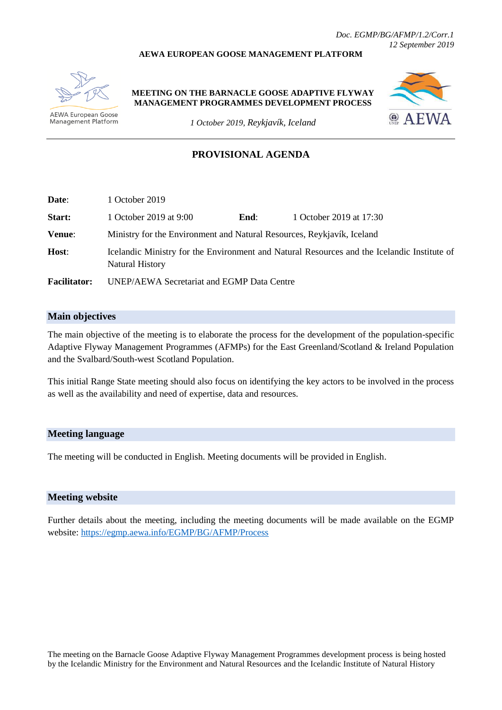#### **AEWA EUROPEAN GOOSE MANAGEMENT PLATFORM**



**AEWA European Goose** Management Platform **MEETING ON THE BARNACLE GOOSE ADAPTIVE FLYWAY MANAGEMENT PROGRAMMES DEVELOPMENT PROCESS**



*1 October 2019, Reykjavík, Iceland*

## **PROVISIONAL AGENDA**

| Date:               | 1 October 2019                                                                                                        |      |                         |  |  |
|---------------------|-----------------------------------------------------------------------------------------------------------------------|------|-------------------------|--|--|
| Start:              | 1 October 2019 at 9:00                                                                                                | End: | 1 October 2019 at 17:30 |  |  |
| Venue:              | Ministry for the Environment and Natural Resources, Reykjavík, Iceland                                                |      |                         |  |  |
| Host:               | Icelandic Ministry for the Environment and Natural Resources and the Icelandic Institute of<br><b>Natural History</b> |      |                         |  |  |
| <b>Facilitator:</b> | UNEP/AEWA Secretariat and EGMP Data Centre                                                                            |      |                         |  |  |

### **Main objectives**

The main objective of the meeting is to elaborate the process for the development of the population-specific Adaptive Flyway Management Programmes (AFMPs) for the East Greenland/Scotland & Ireland Population and the Svalbard/South-west Scotland Population.

This initial Range State meeting should also focus on identifying the key actors to be involved in the process as well as the availability and need of expertise, data and resources.

### **Meeting language**

The meeting will be conducted in English. Meeting documents will be provided in English.

#### **Meeting website**

Further details about the meeting, including the meeting documents will be made available on the EGMP website:<https://egmp.aewa.info/EGMP/BG/AFMP/Process>